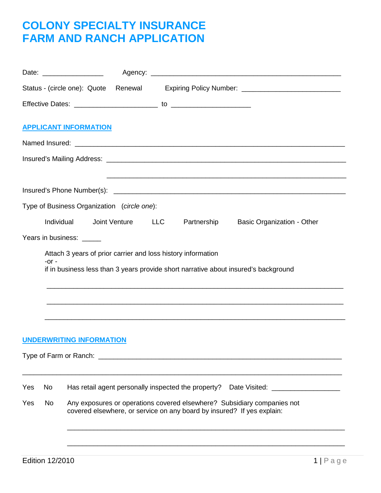## **COLONY SPECIALTY INSURANCE FARM AND RANCH APPLICATION**

|     |         |                          |                                 |                                             |                   |                                                              | Status - (circle one): Quote Renewal Expiring Policy Number: ___________________                                                                  |
|-----|---------|--------------------------|---------------------------------|---------------------------------------------|-------------------|--------------------------------------------------------------|---------------------------------------------------------------------------------------------------------------------------------------------------|
|     |         |                          |                                 |                                             |                   |                                                              |                                                                                                                                                   |
|     |         |                          | <b>APPLICANT INFORMATION</b>    |                                             |                   |                                                              |                                                                                                                                                   |
|     |         |                          |                                 |                                             |                   |                                                              |                                                                                                                                                   |
|     |         |                          |                                 |                                             |                   |                                                              |                                                                                                                                                   |
|     |         |                          |                                 |                                             |                   |                                                              |                                                                                                                                                   |
|     |         |                          |                                 |                                             |                   |                                                              |                                                                                                                                                   |
|     |         |                          |                                 | Type of Business Organization (circle one): |                   |                                                              |                                                                                                                                                   |
|     |         | Individual               |                                 |                                             | Joint Venture LLC |                                                              | Partnership Basic Organization - Other                                                                                                            |
|     |         | Years in business: _____ |                                 |                                             |                   |                                                              |                                                                                                                                                   |
|     |         |                          |                                 |                                             |                   | Attach 3 years of prior carrier and loss history information |                                                                                                                                                   |
|     | $-0r -$ |                          |                                 |                                             |                   |                                                              | if in business less than 3 years provide short narrative about insured's background                                                               |
|     |         |                          |                                 |                                             |                   |                                                              |                                                                                                                                                   |
|     |         |                          |                                 |                                             |                   |                                                              |                                                                                                                                                   |
|     |         |                          |                                 |                                             |                   |                                                              |                                                                                                                                                   |
|     |         |                          |                                 |                                             |                   |                                                              |                                                                                                                                                   |
|     |         |                          | <b>UNDERWRITING INFORMATION</b> |                                             |                   |                                                              |                                                                                                                                                   |
|     |         |                          |                                 |                                             |                   |                                                              |                                                                                                                                                   |
|     |         |                          |                                 |                                             |                   |                                                              |                                                                                                                                                   |
| Yes | No      |                          |                                 |                                             |                   |                                                              | Has retail agent personally inspected the property? Date Visited: ______________                                                                  |
| Yes | No      |                          |                                 |                                             |                   |                                                              | Any exposures or operations covered elsewhere? Subsidiary companies not<br>covered elsewhere, or service on any board by insured? If yes explain: |
|     |         |                          |                                 |                                             |                   |                                                              |                                                                                                                                                   |
|     |         |                          |                                 |                                             |                   |                                                              |                                                                                                                                                   |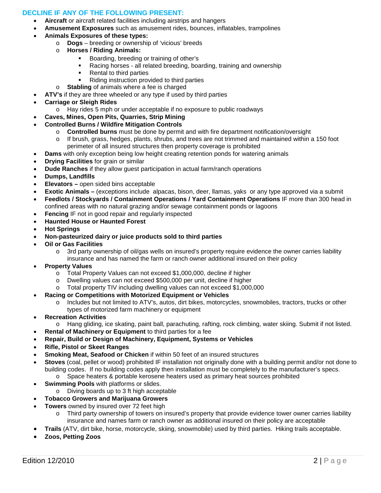#### **DECLINE IF ANY OF THE FOLLOWING PRESENT:**

- **Aircraft** or aircraft related facilities including airstrips and hangers
	- **Amusement Exposures** such as amusement rides, bounces, inflatables, trampolines
- **Animals Exposures of these types:**
	- o **Dogs** breeding or ownership of 'vicious' breeds
	- o **Horses / Riding Animals:**
		- Boarding, breeding or training of other's
		- Racing horses all related breeding, boarding, training and ownership
		- Rental to third parties
		- Riding instruction provided to third parties
	- o **Stabling** of animals where a fee is charged
- **ATV's** if they are three wheeled or any type if used by third parties
- **Carriage or Sleigh Rides**
	- o Hay rides 5 mph or under acceptable if no exposure to public roadways
- **Caves, Mines, Open Pits, Quarries, Strip Mining**
- **Controlled Burns / Wildfire Mitigation Controls**
	- o **Controlled burns** must be done by permit and with fire department notification/oversight
	- o If brush, grass, hedges, plants, shrubs, and trees are not trimmed and maintained within a 150 foot perimeter of all insured structures then property coverage is prohibited
- **Dams** with only exception being low height creating retention ponds for watering animals
- **Drying Facilities** for grain or similar
- **Dude Ranches** if they allow guest participation in actual farm/ranch operations
- **Dumps, Landfills**
- **Elevators –** open sided bins acceptable
- **Exotic Animals –** (exceptions include alpacas, bison, deer, llamas, yaks or any type approved via a submit
- **Feedlots / Stockyards / Containment Operations / Yard Containment Operations** IF more than 300 head in confined areas with no natural grazing and/or sewage containment ponds or lagoons
- **Fencing** IF not in good repair and regularly inspected
- **Haunted House or Haunted Forest**
- **Hot Springs**
- **Non-pasteurized dairy or juice products sold to third parties**
- **Oil or Gas Facilities**
	- o 3rd party ownership of oil/gas wells on insured's property require evidence the owner carries liability insurance and has named the farm or ranch owner additional insured on their policy
- **Property Values**
	- o Total Property Values can not exceed \$1,000,000, decline if higher
	- o Dwelling values can not exceed \$500,000 per unit, decline if higher
	- o Total property TIV including dwelling values can not exceed \$1,000,000
	- **Racing or Competitions with Motorized Equipment or Vehicles**
		- o Includes but not limited to ATV's, autos, dirt bikes, motorcycles, snowmobiles, tractors, trucks or other types of motorized farm machinery or equipment
- **Recreation Activities**
	- o Hang gliding, ice skating, paint ball, parachuting, rafting, rock climbing, water skiing. Submit if not listed.
- **Rental of Machinery or Equipment** to third parties for a fee
- **Repair, Build or Design of Machinery, Equipment, Systems or Vehicles**
- **Rifle, Pistol or Skeet Ranges**
- **Smoking Meat, Seafood or Chicken** if within 50 feet of an insured structures
- **Stoves** (coal, pellet or wood) prohibited IF installation not originally done with a building permit and/or not done to building codes. If no building codes apply then installation must be completely to the manufacturer's specs.
	- o Space heaters & portable kerosene heaters used as primary heat sources prohibited
- **Swimming Pools** with platforms or slides.
	- o Diving boards up to 3 ft high acceptable
- **Tobacco Growers and Marijuana Growers**
- **Towers** owned by insured over 72 feet high
	- o Third party ownership of towers on insured's property that provide evidence tower owner carries liability insurance and names farm or ranch owner as additional insured on their policy are acceptable
	- **Trails** (ATV, dirt bike, horse, motorcycle, skiing, snowmobile) used by third parties. Hiking trails acceptable.
- **Zoos, Petting Zoos**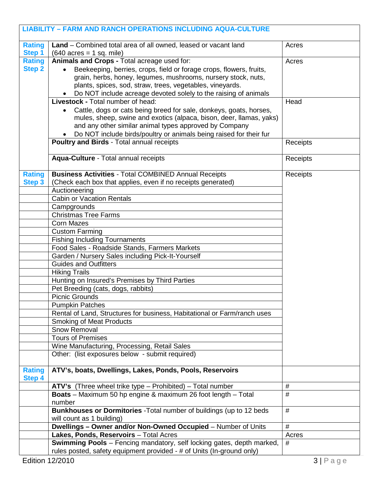|               | <b>LIABILITY - FARM AND RANCH OPERATIONS INCLUDING AQUA-CULTURE</b>                                                                                   |          |
|---------------|-------------------------------------------------------------------------------------------------------------------------------------------------------|----------|
| <b>Rating</b> | Land - Combined total area of all owned, leased or vacant land                                                                                        | Acres    |
| Step 1        | $(640 \text{ acres} = 1 \text{ sq. mile})$                                                                                                            |          |
| <b>Rating</b> | Animals and Crops - Total acreage used for:                                                                                                           | Acres    |
| <b>Step 2</b> | Beekeeping, berries, crops, field or forage crops, flowers, fruits,                                                                                   |          |
|               | grain, herbs, honey, legumes, mushrooms, nursery stock, nuts,<br>plants, spices, sod, straw, trees, vegetables, vineyards.                            |          |
|               | Do NOT include acreage devoted solely to the raising of animals                                                                                       |          |
|               | <b>Livestock - Total number of head:</b>                                                                                                              | Head     |
|               |                                                                                                                                                       |          |
|               | Cattle, dogs or cats being breed for sale, donkeys, goats, horses,<br>mules, sheep, swine and exotics (alpaca, bison, deer, llamas, yaks)             |          |
|               | and any other similar animal types approved by Company                                                                                                |          |
|               | Do NOT include birds/poultry or animals being raised for their fur                                                                                    |          |
|               | Poultry and Birds - Total annual receipts                                                                                                             | Receipts |
|               |                                                                                                                                                       |          |
|               | Aqua-Culture - Total annual receipts                                                                                                                  | Receipts |
| <b>Rating</b> | <b>Business Activities - Total COMBINED Annual Receipts</b>                                                                                           | Receipts |
| <b>Step 3</b> | (Check each box that applies, even if no receipts generated)                                                                                          |          |
|               | Auctioneering                                                                                                                                         |          |
|               | <b>Cabin or Vacation Rentals</b>                                                                                                                      |          |
|               | Campgrounds                                                                                                                                           |          |
|               | <b>Christmas Tree Farms</b>                                                                                                                           |          |
|               | <b>Corn Mazes</b>                                                                                                                                     |          |
|               | <b>Custom Farming</b>                                                                                                                                 |          |
|               | <b>Fishing Including Tournaments</b>                                                                                                                  |          |
|               | Food Sales - Roadside Stands, Farmers Markets                                                                                                         |          |
|               | Garden / Nursery Sales including Pick-It-Yourself                                                                                                     |          |
|               | <b>Guides and Outfitters</b>                                                                                                                          |          |
|               | <b>Hiking Trails</b>                                                                                                                                  |          |
|               | Hunting on Insured's Premises by Third Parties                                                                                                        |          |
|               | Pet Breeding (cats, dogs, rabbits)<br><b>Picnic Grounds</b>                                                                                           |          |
|               |                                                                                                                                                       |          |
|               | <b>Pumpkin Patches</b>                                                                                                                                |          |
|               | Rental of Land, Structures for business, Habitational or Farm/ranch uses<br><b>Smoking of Meat Products</b>                                           |          |
|               | Snow Removal                                                                                                                                          |          |
|               | <b>Tours of Premises</b>                                                                                                                              |          |
|               | Wine Manufacturing, Processing, Retail Sales                                                                                                          |          |
|               | Other: (list exposures below - submit required)                                                                                                       |          |
| <b>Rating</b> | ATV's, boats, Dwellings, Lakes, Ponds, Pools, Reservoirs                                                                                              |          |
| <b>Step 4</b> |                                                                                                                                                       |          |
|               | ATV's (Three wheel trike type - Prohibited) - Total number                                                                                            | #        |
|               | Boats - Maximum 50 hp engine & maximum 26 foot length - Total<br>number                                                                               | $\#$     |
|               | Bunkhouses or Dormitories - Total number of buildings (up to 12 beds                                                                                  | #        |
|               | will count as 1 building)                                                                                                                             |          |
|               | Dwellings - Owner and/or Non-Owned Occupied - Number of Units                                                                                         | #        |
|               | Lakes, Ponds, Reservoirs - Total Acres                                                                                                                | Acres    |
|               | <b>Swimming Pools</b> - Fencing mandatory, self locking gates, depth marked,<br>rules posted, safety equipment provided - # of Units (In-ground only) | #        |
|               | Edition 12/2010                                                                                                                                       | 3 Page   |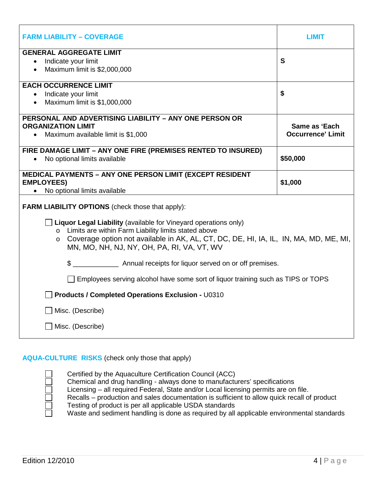| <b>FARM LIABILITY - COVERAGE</b>                                                                                                     | LIMIT                                     |  |  |  |  |  |  |
|--------------------------------------------------------------------------------------------------------------------------------------|-------------------------------------------|--|--|--|--|--|--|
| <b>GENERAL AGGREGATE LIMIT</b>                                                                                                       |                                           |  |  |  |  |  |  |
| Indicate your limit<br>$\bullet$                                                                                                     | S                                         |  |  |  |  |  |  |
| Maximum limit is \$2,000,000                                                                                                         |                                           |  |  |  |  |  |  |
| <b>EACH OCCURRENCE LIMIT</b>                                                                                                         |                                           |  |  |  |  |  |  |
| Indicate your limit<br>$\bullet$                                                                                                     | \$                                        |  |  |  |  |  |  |
| Maximum limit is \$1,000,000                                                                                                         |                                           |  |  |  |  |  |  |
| PERSONAL AND ADVERTISING LIABILITY - ANY ONE PERSON OR                                                                               |                                           |  |  |  |  |  |  |
| <b>ORGANIZATION LIMIT</b>                                                                                                            | Same as 'Each<br><b>Occurrence' Limit</b> |  |  |  |  |  |  |
| Maximum available limit is \$1,000<br>$\bullet$                                                                                      |                                           |  |  |  |  |  |  |
| FIRE DAMAGE LIMIT - ANY ONE FIRE (PREMISES RENTED TO INSURED)                                                                        |                                           |  |  |  |  |  |  |
| No optional limits available                                                                                                         | \$50,000                                  |  |  |  |  |  |  |
| <b>MEDICAL PAYMENTS - ANY ONE PERSON LIMIT (EXCEPT RESIDENT</b>                                                                      |                                           |  |  |  |  |  |  |
| <b>EMPLOYEES)</b>                                                                                                                    | \$1,000                                   |  |  |  |  |  |  |
| No optional limits available                                                                                                         |                                           |  |  |  |  |  |  |
| <b>FARM LIABILITY OPTIONS</b> (check those that apply):                                                                              |                                           |  |  |  |  |  |  |
| $\Box$ Liquor Legal Liability (available for Vineyard operations only)                                                               |                                           |  |  |  |  |  |  |
| o Limits are within Farm Liability limits stated above                                                                               |                                           |  |  |  |  |  |  |
| o Coverage option not available in AK, AL, CT, DC, DE, HI, IA, IL, IN, MA, MD, ME, MI,<br>MN, MO, NH, NJ, NY, OH, PA, RI, VA, VT, WV |                                           |  |  |  |  |  |  |
| \$ ________________________ Annual receipts for liquor served on or off premises.                                                    |                                           |  |  |  |  |  |  |
| □ Employees serving alcohol have some sort of liquor training such as TIPS or TOPS                                                   |                                           |  |  |  |  |  |  |
| <b>Products / Completed Operations Exclusion - U0310</b>                                                                             |                                           |  |  |  |  |  |  |
| Misc. (Describe)                                                                                                                     |                                           |  |  |  |  |  |  |
| Misc. (Describe)                                                                                                                     |                                           |  |  |  |  |  |  |

## **AQUA-CULTURE RISKS** (check only those that apply)

Certified by the Aquaculture Certification Council (ACC)

Chemical and drug handling - always done to manufacturers' specifications

Licensing – all required Federal, State and/or Local licensing permits are on file.

Recalls – production and sales documentation is sufficient to allow quick recall of product Testing of product is per all applicable USDA standards

Waste and sediment handling is done as required by all applicable environmental standards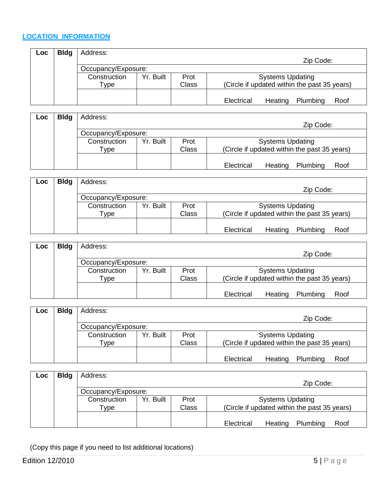### **LOCATION INFORMATION**

| Loc. | <b>Bldg</b> | Address:            |           |       |                                              |
|------|-------------|---------------------|-----------|-------|----------------------------------------------|
|      |             |                     |           |       | Zip Code:                                    |
|      |             | Occupancy/Exposure: |           |       |                                              |
|      |             | Construction        | Yr. Built | Prot  | <b>Systems Updating</b>                      |
|      |             | $\tau$ ype          |           | Class | (Circle if updated within the past 35 years) |
|      |             |                     |           |       |                                              |
|      |             |                     |           |       | Plumbing<br>Electrical<br>Heating<br>Roof    |

| Loc | <b>Bldg</b> | Address:            |           |       |                                              |
|-----|-------------|---------------------|-----------|-------|----------------------------------------------|
|     |             |                     |           |       | Zip Code:                                    |
|     |             | Occupancy/Exposure: |           |       |                                              |
|     |             | Construction        | Yr. Built | Prot  | <b>Systems Updating</b>                      |
|     |             | Type                |           | Class | (Circle if updated within the past 35 years) |
|     |             |                     |           |       |                                              |
|     |             |                     |           |       | Plumbing<br>Electrical<br>Heating<br>Roof    |

| Loc | <b>Bldg</b> | Address:            |           |       |                                              |
|-----|-------------|---------------------|-----------|-------|----------------------------------------------|
|     |             |                     |           |       | Zip Code:                                    |
|     |             | Occupancy/Exposure: |           |       |                                              |
|     |             | Construction        | Yr. Built | Prot  | <b>Systems Updating</b>                      |
|     |             | $\mathsf{vpe}$      |           | Class | (Circle if updated within the past 35 years) |
|     |             |                     |           |       |                                              |
|     |             |                     |           |       | Electrical<br>Plumbing<br>Heating<br>Roof    |

| <b>Loc</b> | <b>Bldg</b> | Address:            |           |       |                                              |
|------------|-------------|---------------------|-----------|-------|----------------------------------------------|
|            |             |                     |           |       | Zip Code:                                    |
|            |             | Occupancy/Exposure: |           |       |                                              |
|            |             | Construction        | Yr. Built | Prot  | <b>Systems Updating</b>                      |
|            |             | Type                |           | Class | (Circle if updated within the past 35 years) |
|            |             |                     |           |       |                                              |
|            |             |                     |           |       | Plumbing<br>Electrical<br>Heating<br>Roof    |

| Loc | <b>Bldg</b> | Address:            |           |       |                                              |
|-----|-------------|---------------------|-----------|-------|----------------------------------------------|
|     |             |                     |           |       | Zip Code:                                    |
|     |             | Occupancy/Exposure: |           |       |                                              |
|     |             | Construction        | Yr. Built | Prot  | <b>Systems Updating</b>                      |
|     |             | $^{\mathsf{v}}$ ype |           | Class | (Circle if updated within the past 35 years) |
|     |             |                     |           |       |                                              |
|     |             |                     |           |       | Electrical<br>Plumbing<br>Heating<br>Roof    |

| Loc | <b>Bldg</b> | Address:            |           |       |                                              |
|-----|-------------|---------------------|-----------|-------|----------------------------------------------|
|     |             |                     |           |       | Zip Code:                                    |
|     |             | Occupancy/Exposure: |           |       |                                              |
|     |             | Construction        | Yr. Built | Prot  | <b>Systems Updating</b>                      |
|     |             | $\tau$ ype          |           | Class | (Circle if updated within the past 35 years) |
|     |             |                     |           |       |                                              |
|     |             |                     |           |       | Plumbing<br>Electrical<br>Heating<br>Roof    |

(Copy this page if you need to list additional locations)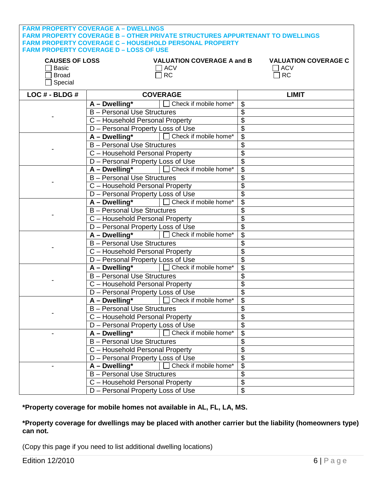| <b>CAUSES OF LOSS</b><br><b>VALUATION COVERAGE A and B</b><br><b>VALUATION COVERAGE C</b><br><b>ACV</b><br>$\Box$ ACV<br>Basic<br><b>RC</b><br><b>RC</b><br><b>Broad</b><br>Special<br>LOC # - BLDG #<br><b>COVERAGE</b><br><b>LIMIT</b><br>Check if mobile home*<br>A - Dwelling*<br>\$<br>\$<br><b>B</b> - Personal Use Structures<br>\$<br>C - Household Personal Property<br>\$<br>D - Personal Property Loss of Use<br>A - Dwelling*   Check if mobile home*<br>$\overline{\mathcal{S}}$<br><b>B</b> - Personal Use Structures<br>\$<br>\$<br>C - Household Personal Property<br>D - Personal Property Loss of Use<br>\$<br>A - Dwelling*   Check if mobile home*<br>\$<br><b>B</b> - Personal Use Structures<br>\$<br>\$<br>C - Household Personal Property<br>D - Personal Property Loss of Use<br>\$<br>A - Dwelling <sup>*</sup>   □ Check if mobile home*<br>\$<br><b>B</b> - Personal Use Structures<br>\$<br>\$<br>C - Household Personal Property |
|----------------------------------------------------------------------------------------------------------------------------------------------------------------------------------------------------------------------------------------------------------------------------------------------------------------------------------------------------------------------------------------------------------------------------------------------------------------------------------------------------------------------------------------------------------------------------------------------------------------------------------------------------------------------------------------------------------------------------------------------------------------------------------------------------------------------------------------------------------------------------------------------------------------------------------------------------------------|
|                                                                                                                                                                                                                                                                                                                                                                                                                                                                                                                                                                                                                                                                                                                                                                                                                                                                                                                                                                |
|                                                                                                                                                                                                                                                                                                                                                                                                                                                                                                                                                                                                                                                                                                                                                                                                                                                                                                                                                                |
|                                                                                                                                                                                                                                                                                                                                                                                                                                                                                                                                                                                                                                                                                                                                                                                                                                                                                                                                                                |
|                                                                                                                                                                                                                                                                                                                                                                                                                                                                                                                                                                                                                                                                                                                                                                                                                                                                                                                                                                |
|                                                                                                                                                                                                                                                                                                                                                                                                                                                                                                                                                                                                                                                                                                                                                                                                                                                                                                                                                                |
|                                                                                                                                                                                                                                                                                                                                                                                                                                                                                                                                                                                                                                                                                                                                                                                                                                                                                                                                                                |
|                                                                                                                                                                                                                                                                                                                                                                                                                                                                                                                                                                                                                                                                                                                                                                                                                                                                                                                                                                |
|                                                                                                                                                                                                                                                                                                                                                                                                                                                                                                                                                                                                                                                                                                                                                                                                                                                                                                                                                                |
|                                                                                                                                                                                                                                                                                                                                                                                                                                                                                                                                                                                                                                                                                                                                                                                                                                                                                                                                                                |
|                                                                                                                                                                                                                                                                                                                                                                                                                                                                                                                                                                                                                                                                                                                                                                                                                                                                                                                                                                |
|                                                                                                                                                                                                                                                                                                                                                                                                                                                                                                                                                                                                                                                                                                                                                                                                                                                                                                                                                                |
|                                                                                                                                                                                                                                                                                                                                                                                                                                                                                                                                                                                                                                                                                                                                                                                                                                                                                                                                                                |
|                                                                                                                                                                                                                                                                                                                                                                                                                                                                                                                                                                                                                                                                                                                                                                                                                                                                                                                                                                |
|                                                                                                                                                                                                                                                                                                                                                                                                                                                                                                                                                                                                                                                                                                                                                                                                                                                                                                                                                                |
|                                                                                                                                                                                                                                                                                                                                                                                                                                                                                                                                                                                                                                                                                                                                                                                                                                                                                                                                                                |
|                                                                                                                                                                                                                                                                                                                                                                                                                                                                                                                                                                                                                                                                                                                                                                                                                                                                                                                                                                |
|                                                                                                                                                                                                                                                                                                                                                                                                                                                                                                                                                                                                                                                                                                                                                                                                                                                                                                                                                                |
| \$<br>D - Personal Property Loss of Use                                                                                                                                                                                                                                                                                                                                                                                                                                                                                                                                                                                                                                                                                                                                                                                                                                                                                                                        |
| Check if mobile home*<br>\$<br>$A - Dwelling*$                                                                                                                                                                                                                                                                                                                                                                                                                                                                                                                                                                                                                                                                                                                                                                                                                                                                                                                 |
| \$<br><b>B</b> - Personal Use Structures                                                                                                                                                                                                                                                                                                                                                                                                                                                                                                                                                                                                                                                                                                                                                                                                                                                                                                                       |
| \$<br>C - Household Personal Property                                                                                                                                                                                                                                                                                                                                                                                                                                                                                                                                                                                                                                                                                                                                                                                                                                                                                                                          |
| \$<br>D - Personal Property Loss of Use                                                                                                                                                                                                                                                                                                                                                                                                                                                                                                                                                                                                                                                                                                                                                                                                                                                                                                                        |
| □ Check if mobile home*<br>$A - Dwelling*$<br>\$                                                                                                                                                                                                                                                                                                                                                                                                                                                                                                                                                                                                                                                                                                                                                                                                                                                                                                               |
| <b>B</b> - Personal Use Structures<br>\$                                                                                                                                                                                                                                                                                                                                                                                                                                                                                                                                                                                                                                                                                                                                                                                                                                                                                                                       |
| \$<br>C - Household Personal Property                                                                                                                                                                                                                                                                                                                                                                                                                                                                                                                                                                                                                                                                                                                                                                                                                                                                                                                          |
| \$<br>D - Personal Property Loss of Use                                                                                                                                                                                                                                                                                                                                                                                                                                                                                                                                                                                                                                                                                                                                                                                                                                                                                                                        |
| A - Dwelling*   Check if mobile home*<br>$\boldsymbol{\theta}$                                                                                                                                                                                                                                                                                                                                                                                                                                                                                                                                                                                                                                                                                                                                                                                                                                                                                                 |
| \$<br><b>B</b> - Personal Use Structures                                                                                                                                                                                                                                                                                                                                                                                                                                                                                                                                                                                                                                                                                                                                                                                                                                                                                                                       |
| \$<br>C - Household Personal Property                                                                                                                                                                                                                                                                                                                                                                                                                                                                                                                                                                                                                                                                                                                                                                                                                                                                                                                          |
| \$<br>D - Personal Property Loss of Use                                                                                                                                                                                                                                                                                                                                                                                                                                                                                                                                                                                                                                                                                                                                                                                                                                                                                                                        |
| Check if mobile home*<br>A - Dwelling*<br>\$                                                                                                                                                                                                                                                                                                                                                                                                                                                                                                                                                                                                                                                                                                                                                                                                                                                                                                                   |
| <b>B</b> - Personal Use Structures<br>\$                                                                                                                                                                                                                                                                                                                                                                                                                                                                                                                                                                                                                                                                                                                                                                                                                                                                                                                       |
| \$<br>C - Household Personal Property                                                                                                                                                                                                                                                                                                                                                                                                                                                                                                                                                                                                                                                                                                                                                                                                                                                                                                                          |
| \$<br>D - Personal Property Loss of Use                                                                                                                                                                                                                                                                                                                                                                                                                                                                                                                                                                                                                                                                                                                                                                                                                                                                                                                        |
| Check if mobile home*<br>$A$ – Dwelling*<br>\$                                                                                                                                                                                                                                                                                                                                                                                                                                                                                                                                                                                                                                                                                                                                                                                                                                                                                                                 |
| <b>B</b> - Personal Use Structures<br>\$                                                                                                                                                                                                                                                                                                                                                                                                                                                                                                                                                                                                                                                                                                                                                                                                                                                                                                                       |
| \$<br>C - Household Personal Property                                                                                                                                                                                                                                                                                                                                                                                                                                                                                                                                                                                                                                                                                                                                                                                                                                                                                                                          |
| \$<br>D - Personal Property Loss of Use                                                                                                                                                                                                                                                                                                                                                                                                                                                                                                                                                                                                                                                                                                                                                                                                                                                                                                                        |

#### **\*Property coverage for mobile homes not available in AL, FL, LA, MS.**

#### **\*Property coverage for dwellings may be placed with another carrier but the liability (homeowners type) can not.**

(Copy this page if you need to list additional dwelling locations)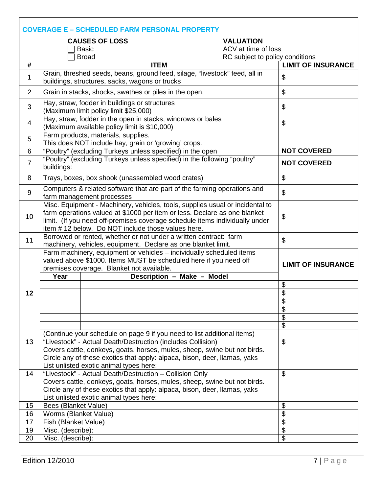|                | <b>COVERAGE E - SCHEDULED FARM PERSONAL PROPERTY</b>                                                                                                                                                                                                                                                                        |                                 |                           |  |  |  |
|----------------|-----------------------------------------------------------------------------------------------------------------------------------------------------------------------------------------------------------------------------------------------------------------------------------------------------------------------------|---------------------------------|---------------------------|--|--|--|
|                | <b>CAUSES OF LOSS</b>                                                                                                                                                                                                                                                                                                       | <b>VALUATION</b>                |                           |  |  |  |
|                | <b>Basic</b>                                                                                                                                                                                                                                                                                                                | ACV at time of loss             |                           |  |  |  |
|                | <b>Broad</b>                                                                                                                                                                                                                                                                                                                | RC subject to policy conditions |                           |  |  |  |
| #              | <b>ITEM</b>                                                                                                                                                                                                                                                                                                                 |                                 | <b>LIMIT OF INSURANCE</b> |  |  |  |
| 1              | Grain, threshed seeds, beans, ground feed, silage, "livestock" feed, all in<br>buildings, structures, sacks, wagons or trucks                                                                                                                                                                                               |                                 | \$                        |  |  |  |
| 2              | Grain in stacks, shocks, swathes or piles in the open.                                                                                                                                                                                                                                                                      |                                 | $\boldsymbol{\mathsf{S}}$ |  |  |  |
| 3              | Hay, straw, fodder in buildings or structures<br>(Maximum limit policy limit \$25,000)                                                                                                                                                                                                                                      |                                 | $\boldsymbol{\mathsf{S}}$ |  |  |  |
| $\overline{4}$ | Hay, straw, fodder in the open in stacks, windrows or bales<br>(Maximum available policy limit is \$10,000)                                                                                                                                                                                                                 |                                 | $\boldsymbol{\mathsf{S}}$ |  |  |  |
| 5              | Farm products, materials, supplies.<br>This does NOT include hay, grain or 'growing' crops.                                                                                                                                                                                                                                 |                                 |                           |  |  |  |
| 6              | "Poultry" (excluding Turkeys unless specified) in the open                                                                                                                                                                                                                                                                  |                                 | <b>NOT COVERED</b>        |  |  |  |
| $\overline{7}$ | "Poultry" (excluding Turkeys unless specified) in the following "poultry"<br>buildings:                                                                                                                                                                                                                                     |                                 | <b>NOT COVERED</b>        |  |  |  |
| 8              | Trays, boxes, box shook (unassembled wood crates)                                                                                                                                                                                                                                                                           |                                 | $\boldsymbol{\mathsf{S}}$ |  |  |  |
| 9              | Computers & related software that are part of the farming operations and<br>farm management processes                                                                                                                                                                                                                       |                                 | $\boldsymbol{\mathsf{S}}$ |  |  |  |
| 10             | Misc. Equipment - Machinery, vehicles, tools, supplies usual or incidental to<br>farm operations valued at \$1000 per item or less. Declare as one blanket<br>$\boldsymbol{\mathsf{S}}$<br>limit. (If you need off-premises coverage schedule items individually under<br>item #12 below. Do NOT include those values here. |                                 |                           |  |  |  |
| 11             | Borrowed or rented, whether or not under a written contract: farm<br>machinery, vehicles, equipment. Declare as one blanket limit.                                                                                                                                                                                          |                                 | $\boldsymbol{\mathsf{S}}$ |  |  |  |
|                | Farm machinery, equipment or vehicles - individually scheduled items<br>valued above \$1000. Items MUST be scheduled here if you need off<br>premises coverage. Blanket not available.<br>Description - Make - Model<br>Year                                                                                                |                                 | <b>LIMIT OF INSURANCE</b> |  |  |  |
|                |                                                                                                                                                                                                                                                                                                                             |                                 | $\frac{1}{2}$             |  |  |  |
| 12             |                                                                                                                                                                                                                                                                                                                             |                                 | $\overline{\$}$           |  |  |  |
|                |                                                                                                                                                                                                                                                                                                                             |                                 | \$                        |  |  |  |
|                |                                                                                                                                                                                                                                                                                                                             |                                 | $\overline{\mathfrak{s}}$ |  |  |  |
|                |                                                                                                                                                                                                                                                                                                                             |                                 | $\boldsymbol{\theta}$     |  |  |  |
|                |                                                                                                                                                                                                                                                                                                                             |                                 | $\overline{\mathbf{e}}$   |  |  |  |
|                | (Continue your schedule on page 9 if you need to list additional items)                                                                                                                                                                                                                                                     |                                 |                           |  |  |  |
| 13             | "Livestock" - Actual Death/Destruction (includes Collision)                                                                                                                                                                                                                                                                 |                                 | $\boldsymbol{\mathsf{S}}$ |  |  |  |
|                | Covers cattle, donkeys, goats, horses, mules, sheep, swine but not birds.                                                                                                                                                                                                                                                   |                                 |                           |  |  |  |
|                | Circle any of these exotics that apply: alpaca, bison, deer, llamas, yaks                                                                                                                                                                                                                                                   |                                 |                           |  |  |  |
|                | List unlisted exotic animal types here:                                                                                                                                                                                                                                                                                     |                                 |                           |  |  |  |
| 14             | "Livestock" - Actual Death/Destruction - Collision Only                                                                                                                                                                                                                                                                     |                                 | $\boldsymbol{\mathsf{S}}$ |  |  |  |
|                | Covers cattle, donkeys, goats, horses, mules, sheep, swine but not birds.                                                                                                                                                                                                                                                   |                                 |                           |  |  |  |
|                | Circle any of these exotics that apply: alpaca, bison, deer, llamas, yaks                                                                                                                                                                                                                                                   |                                 |                           |  |  |  |
|                | List unlisted exotic animal types here:                                                                                                                                                                                                                                                                                     |                                 |                           |  |  |  |
| 15             | <b>Bees (Blanket Value)</b>                                                                                                                                                                                                                                                                                                 |                                 | \$                        |  |  |  |
| 16             | Worms (Blanket Value)                                                                                                                                                                                                                                                                                                       |                                 | $\overline{\mathbf{S}}$   |  |  |  |
| 17             | Fish (Blanket Value)                                                                                                                                                                                                                                                                                                        |                                 | $\overline{\mathbf{G}}$   |  |  |  |
| 19             | Misc. (describe):                                                                                                                                                                                                                                                                                                           |                                 | $\overline{\mathbf{e}}$   |  |  |  |
| 20             | Misc. (describe):                                                                                                                                                                                                                                                                                                           |                                 | $\boldsymbol{\mathsf{S}}$ |  |  |  |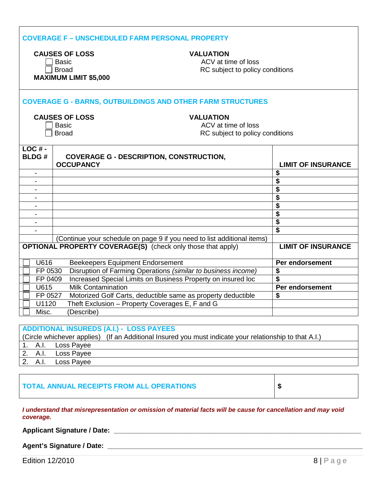| <b>COVERAGE F - UNSCHEDULED FARM PERSONAL PROPERTY</b>                                                                                                              |                                                                         |  |                                      |  |
|---------------------------------------------------------------------------------------------------------------------------------------------------------------------|-------------------------------------------------------------------------|--|--------------------------------------|--|
| <b>CAUSES OF LOSS</b><br><b>VALUATION</b><br>ACV at time of loss<br><b>Basic</b><br>RC subject to policy conditions<br><b>Broad</b><br><b>MAXIMUM LIMIT \$5,000</b> |                                                                         |  |                                      |  |
|                                                                                                                                                                     | <b>COVERAGE G - BARNS, OUTBUILDINGS AND OTHER FARM STRUCTURES</b>       |  |                                      |  |
| <b>CAUSES OF LOSS</b><br><b>VALUATION</b><br>ACV at time of loss<br><b>Basic</b><br>RC subject to policy conditions<br><b>Broad</b>                                 |                                                                         |  |                                      |  |
| $LOC# -$<br><b>BLDG#</b>                                                                                                                                            | <b>COVERAGE G - DESCRIPTION, CONSTRUCTION,</b><br><b>OCCUPANCY</b>      |  | <b>LIMIT OF INSURANCE</b>            |  |
| $\overline{\phantom{a}}$                                                                                                                                            |                                                                         |  | \$                                   |  |
|                                                                                                                                                                     |                                                                         |  | \$<br>\$                             |  |
|                                                                                                                                                                     |                                                                         |  | \$                                   |  |
| $\blacksquare$                                                                                                                                                      |                                                                         |  | \$                                   |  |
|                                                                                                                                                                     |                                                                         |  | \$                                   |  |
| $\blacksquare$                                                                                                                                                      |                                                                         |  | $\overline{\boldsymbol{\mathsf{s}}}$ |  |
|                                                                                                                                                                     |                                                                         |  | $\overline{\mathbf{s}}$              |  |
|                                                                                                                                                                     | (Continue your schedule on page 9 if you need to list additional items) |  |                                      |  |
| <b>OPTIONAL PROPERTY COVERAGE(S)</b> (check only those that apply)<br><b>LIMIT OF INSURANCE</b>                                                                     |                                                                         |  |                                      |  |
| U616                                                                                                                                                                | <b>Beekeepers Equipment Endorsement</b>                                 |  | Per endorsement                      |  |
| FP 0530                                                                                                                                                             | Disruption of Farming Operations (similar to business income)           |  | \$                                   |  |
| FP 0409                                                                                                                                                             | Increased Special Limits on Business Property on insured loc            |  | \$                                   |  |
| U615                                                                                                                                                                | <b>Milk Contamination</b>                                               |  | Per endorsement                      |  |
| FP 0527                                                                                                                                                             | Motorized Golf Carts, deductible same as property deductible            |  | \$                                   |  |
| U1120                                                                                                                                                               | Theft Exclusion - Property Coverages E, F and G                         |  |                                      |  |
| Misc.                                                                                                                                                               | (Describe)                                                              |  |                                      |  |
|                                                                                                                                                                     |                                                                         |  |                                      |  |
|                                                                                                                                                                     | <b>ADDITIONAL INSUREDS (A.I.) - LOSS PAYEES</b>                         |  |                                      |  |
| (Circle whichever applies) (If an Additional Insured you must indicate your relationship to that A.I.)                                                              |                                                                         |  |                                      |  |

|  |  |                    | $\sim$ once which cyclic applies) $\sim$ the all Additional models you must multate you |  |
|--|--|--------------------|-----------------------------------------------------------------------------------------|--|
|  |  | 1. A.I. Loss Payee |                                                                                         |  |
|  |  | 2. A.I. Loss Payee |                                                                                         |  |
|  |  | 2. A.I. Loss Payee |                                                                                         |  |

## **TOTAL ANNUAL RECEIPTS FROM ALL OPERATIONS \$**

#### *I understand that misrepresentation or omission of material facts will be cause for cancellation and may void coverage.*

**Applicant Signature / Date: \_\_\_\_\_\_\_\_\_\_\_\_\_\_\_\_\_\_\_\_\_\_\_\_\_\_\_\_\_\_\_\_\_\_\_\_\_\_\_\_\_\_\_\_\_\_\_\_\_\_\_\_\_\_\_\_\_\_\_\_\_\_\_\_\_**

#### **Agent's Signature / Date: \_\_\_\_\_\_\_\_\_\_\_\_\_\_\_\_\_\_\_\_\_\_\_\_\_\_\_\_\_\_\_\_\_\_\_\_\_\_\_\_\_\_\_\_\_\_\_\_\_\_\_\_\_\_\_\_\_\_\_\_\_\_\_\_\_\_\_**

**Edition 12/2010** 8 | P a g e